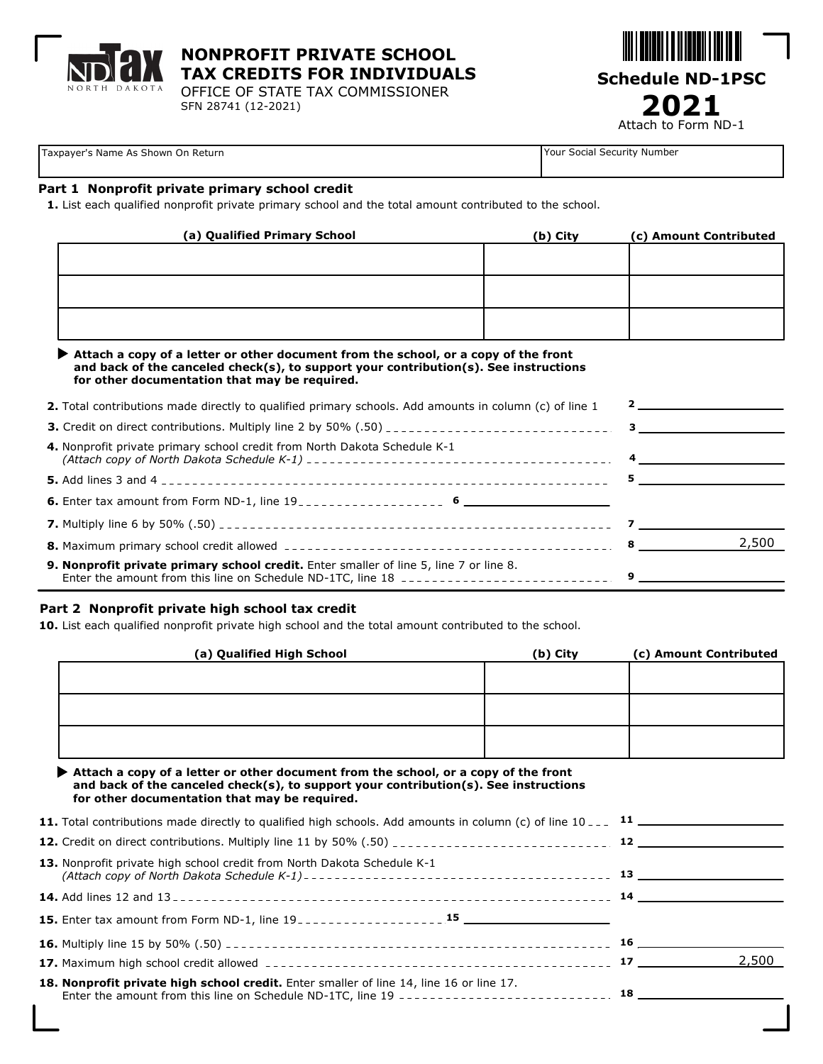

**NONPROFIT PRIVATE SCHOOL TAX CREDITS FOR INDIVIDUALS**

OFFICE OF STATE TAX COMMISSIONER SFN 28741 (12-2021)



Taxpayer's Name As Shown On Return Your Social Security Number

### **Part 1 Nonprofit private primary school credit**

**1.** List each qualified nonprofit private primary school and the total amount contributed to the school.

| (a) Qualified Primary School | (b) City | (c) Amount Contributed |
|------------------------------|----------|------------------------|
|                              |          |                        |
|                              |          |                        |
|                              |          |                        |
|                              |          |                        |
|                              |          |                        |
|                              |          |                        |

| $\blacktriangleright$ Attach a copy of a letter or other document from the school, or a copy of the front |
|-----------------------------------------------------------------------------------------------------------|
| and back of the canceled check(s), to support your contribution(s). See instructions                      |
| for other documentation that may be required.                                                             |

| <b>2.</b> Total contributions made directly to qualified primary schools. Add amounts in column (c) of line 1 |       |  |
|---------------------------------------------------------------------------------------------------------------|-------|--|
|                                                                                                               |       |  |
| 4. Nonprofit private primary school credit from North Dakota Schedule K-1                                     |       |  |
|                                                                                                               |       |  |
| <b>6.</b> Enter tax amount from Form ND-1, line $19$ ------------------ 6                                     |       |  |
|                                                                                                               |       |  |
|                                                                                                               | 2,500 |  |
| 9. Nonprofit private primary school credit. Enter smaller of line 5, line 7 or line 8.                        |       |  |

#### **Part 2 Nonprofit private high school tax credit**

**10.** List each qualified nonprofit private high school and the total amount contributed to the school.

| (a) Qualified High School | (b) City | (c) Amount Contributed |
|---------------------------|----------|------------------------|
|                           |          |                        |
|                           |          |                        |
|                           |          |                        |
|                           |          |                        |
|                           |          |                        |
|                           |          |                        |

| Attach a copy of a letter or other document from the school, or a copy of the front  |  |  |  |
|--------------------------------------------------------------------------------------|--|--|--|
| and back of the canceled check(s), to support your contribution(s). See instructions |  |  |  |
| for other documentation that may be required.                                        |  |  |  |

| <b>13.</b> Nonprofit private high school credit from North Dakota Schedule K-1          |       |
|-----------------------------------------------------------------------------------------|-------|
|                                                                                         |       |
|                                                                                         |       |
|                                                                                         |       |
|                                                                                         | 2,500 |
| 18. Nonprofit private high school credit. Enter smaller of line 14, line 16 or line 17. |       |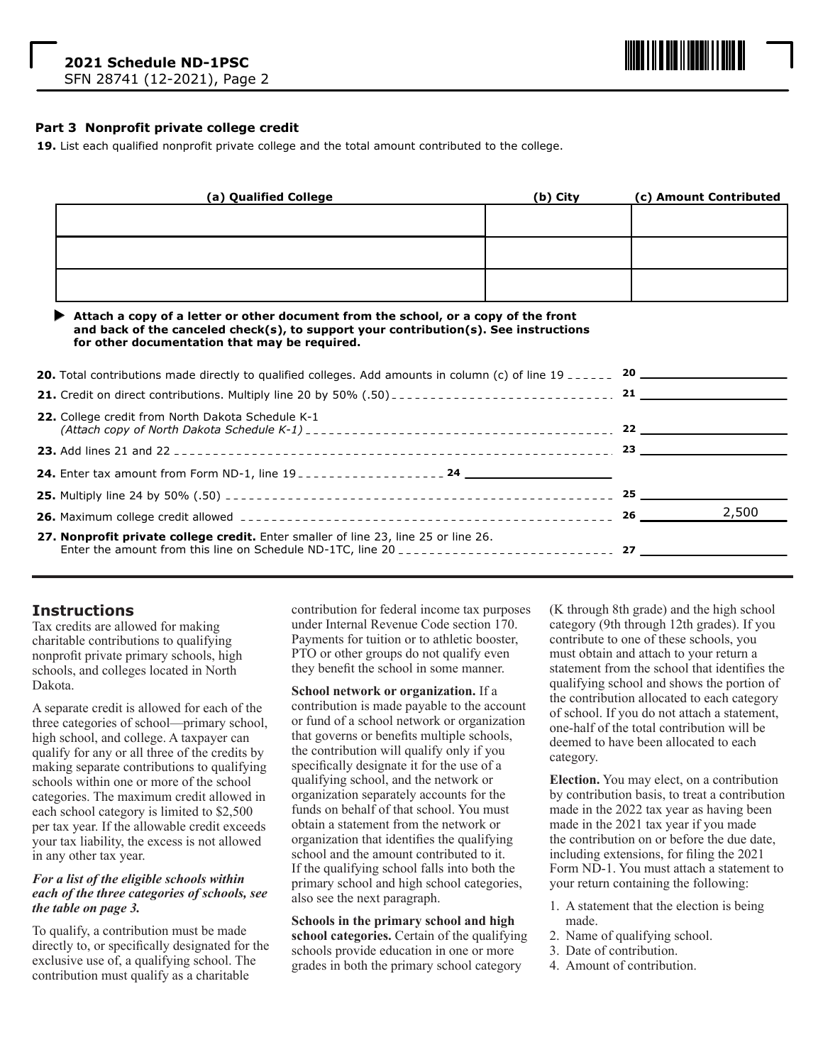

#### **Part 3 Nonprofit private college credit**

**19.** List each qualified nonprofit private college and the total amount contributed to the college.

| (a) Qualified College | (b) City | (c) Amount Contributed |
|-----------------------|----------|------------------------|
|                       |          |                        |
|                       |          |                        |
|                       |          |                        |
|                       |          |                        |
|                       |          |                        |
|                       |          |                        |

#### **Attach a copy of a letter or other document from the school, or a copy of the front and back of the canceled check(s), to support your contribution(s). See instructions for other documentation that may be required.**

| 22. College credit from North Dakota Schedule K-1                                   |    | $22$ $\overline{\phantom{a}}$ |
|-------------------------------------------------------------------------------------|----|-------------------------------|
|                                                                                     |    |                               |
|                                                                                     |    |                               |
|                                                                                     |    | 25                            |
|                                                                                     | 26 | 2,500                         |
| 27. Nonprofit private college credit. Enter smaller of line 23, line 25 or line 26. |    |                               |

## **Instructions**

Tax credits are allowed for making charitable contributions to qualifying nonprofit private primary schools, high schools, and colleges located in North Dakota.

A separate credit is allowed for each of the three categories of school—primary school, high school, and college. A taxpayer can qualify for any or all three of the credits by making separate contributions to qualifying schools within one or more of the school categories. The maximum credit allowed in each school category is limited to \$2,500 per tax year. If the allowable credit exceeds your tax liability, the excess is not allowed in any other tax year.

#### *For a list of the eligible schools within each of the three categories of schools, see the table on page 3.*

To qualify, a contribution must be made directly to, or specifically designated for the exclusive use of, a qualifying school. The contribution must qualify as a charitable

contribution for federal income tax purposes under Internal Revenue Code section 170. Payments for tuition or to athletic booster, PTO or other groups do not qualify even they benefit the school in some manner.

**School network or organization.** If a contribution is made payable to the account or fund of a school network or organization that governs or benefits multiple schools, the contribution will qualify only if you specifically designate it for the use of a qualifying school, and the network or organization separately accounts for the funds on behalf of that school. You must obtain a statement from the network or organization that identifies the qualifying school and the amount contributed to it. If the qualifying school falls into both the primary school and high school categories, also see the next paragraph.

**Schools in the primary school and high school categories.** Certain of the qualifying schools provide education in one or more grades in both the primary school category

(K through 8th grade) and the high school category (9th through 12th grades). If you contribute to one of these schools, you must obtain and attach to your return a statement from the school that identifies the qualifying school and shows the portion of the contribution allocated to each category of school. If you do not attach a statement, one-half of the total contribution will be deemed to have been allocated to each category.

**Election.** You may elect, on a contribution by contribution basis, to treat a contribution made in the 2022 tax year as having been made in the 2021 tax year if you made the contribution on or before the due date, including extensions, for filing the 2021 Form ND-1. You must attach a statement to your return containing the following:

- 1. A statement that the election is being made.
- 2. Name of qualifying school.
- 3. Date of contribution.
- 4. Amount of contribution.